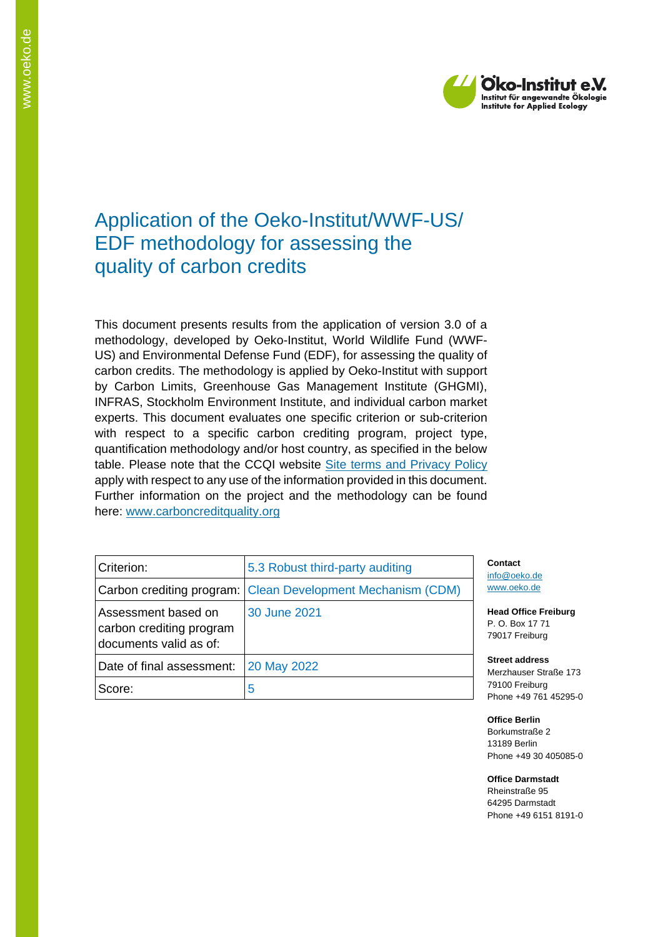

# Application of the Oeko-Institut/WWF-US/ EDF methodology for assessing the quality of carbon credits

This document presents results from the application of version 3.0 of a methodology, developed by Oeko-Institut, World Wildlife Fund (WWF-US) and Environmental Defense Fund (EDF), for assessing the quality of carbon credits. The methodology is applied by Oeko-Institut with support by Carbon Limits, Greenhouse Gas Management Institute (GHGMI), INFRAS, Stockholm Environment Institute, and individual carbon market experts. This document evaluates one specific criterion or sub-criterion with respect to a specific carbon crediting program, project type, quantification methodology and/or host country, as specified in the below table. Please note that the CCQI website [Site terms and Privacy Policy](https://carboncreditquality.org/terms.html) apply with respect to any use of the information provided in this document. Further information on the project and the methodology can be found here: [www.carboncreditquality.org](http://www.carboncreditquality.org/)

| Criterion:                                                                | 5.3 Robust third-party auditing                             |
|---------------------------------------------------------------------------|-------------------------------------------------------------|
|                                                                           | Carbon crediting program: Clean Development Mechanism (CDM) |
| Assessment based on<br>carbon crediting program<br>documents valid as of: | 30 June 2021                                                |
| Date of final assessment:                                                 | 20 May 2022                                                 |
| Score:                                                                    | 5                                                           |

**Contact** [info@oeko.de](mailto:info@oeko.de) [www.oeko.de](http://www.oeko.de/)

**Head Office Freiburg** P. O. Box 17 71 79017 Freiburg

**Street address** Merzhauser Straße 173 79100 Freiburg Phone +49 761 45295-0

**Office Berlin** Borkumstraße 2 13189 Berlin Phone +49 30 405085-0

**Office Darmstadt** Rheinstraße 95 64295 Darmstadt Phone +49 6151 8191-0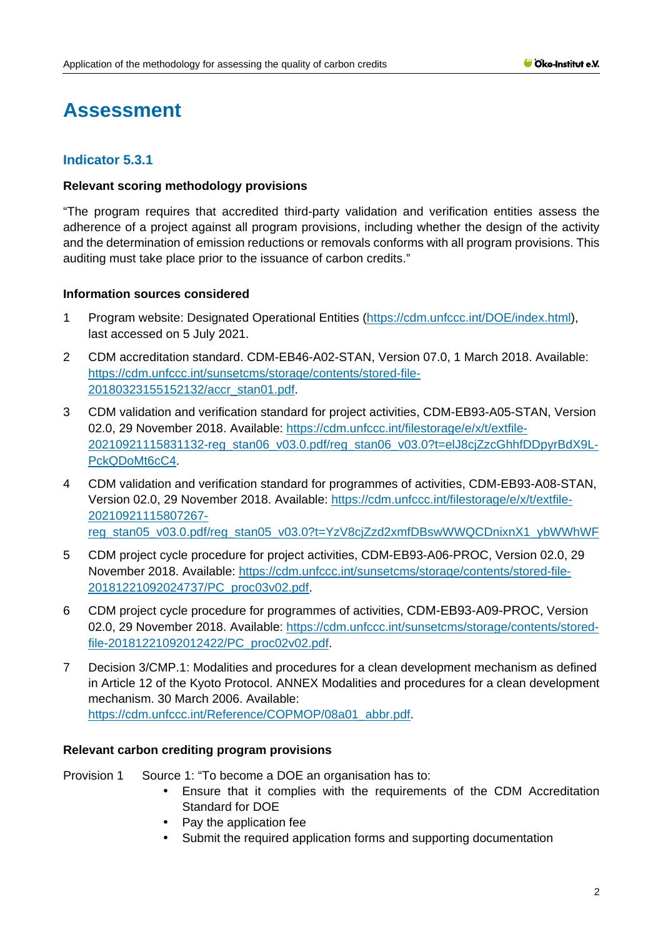# **Assessment**

## **Indicator 5.3.1**

#### **Relevant scoring methodology provisions**

"The program requires that accredited third-party validation and verification entities assess the adherence of a project against all program provisions, including whether the design of the activity and the determination of emission reductions or removals conforms with all program provisions. This auditing must take place prior to the issuance of carbon credits."

#### **Information sources considered**

- 1 Program website: Designated Operational Entities [\(https://cdm.unfccc.int/DOE/index.html\)](https://cdm.unfccc.int/DOE/index.html), last accessed on 5 July 2021.
- 2 CDM accreditation standard. CDM-EB46-A02-STAN, Version 07.0, 1 March 2018. Available: [https://cdm.unfccc.int/sunsetcms/storage/contents/stored-file-](https://cdm.unfccc.int/sunsetcms/storage/contents/stored-file-20180323155152132/accr_stan01.pdf)[20180323155152132/accr\\_stan01.pdf.](https://cdm.unfccc.int/sunsetcms/storage/contents/stored-file-20180323155152132/accr_stan01.pdf)
- 3 CDM validation and verification standard for project activities, CDM-EB93-A05-STAN, Version 02.0, 29 November 2018. Available: [https://cdm.unfccc.int/filestorage/e/x/t/extfile-](https://cdm.unfccc.int/filestorage/e/x/t/extfile-20210921115831132-reg_stan06_v03.0.pdf/reg_stan06_v03.0?t=elJ8cjZzcGhhfDDpyrBdX9L-PckQDoMt6cC4)[20210921115831132-reg\\_stan06\\_v03.0.pdf/reg\\_stan06\\_v03.0?t=elJ8cjZzcGhhfDDpyrBdX9L-](https://cdm.unfccc.int/filestorage/e/x/t/extfile-20210921115831132-reg_stan06_v03.0.pdf/reg_stan06_v03.0?t=elJ8cjZzcGhhfDDpyrBdX9L-PckQDoMt6cC4)[PckQDoMt6cC4.](https://cdm.unfccc.int/filestorage/e/x/t/extfile-20210921115831132-reg_stan06_v03.0.pdf/reg_stan06_v03.0?t=elJ8cjZzcGhhfDDpyrBdX9L-PckQDoMt6cC4)
- 4 CDM validation and verification standard for programmes of activities, CDM-EB93-A08-STAN, Version 02.0, 29 November 2018. Available: [https://cdm.unfccc.int/filestorage/e/x/t/extfile-](https://cdm.unfccc.int/filestorage/e/x/t/extfile-20210921115807267-reg_stan05_v03.0.pdf/reg_stan05_v03.0?t=YzV8cjZzd2xmfDBswWWQCDnixnX1_ybWWhWF)[20210921115807267](https://cdm.unfccc.int/filestorage/e/x/t/extfile-20210921115807267-reg_stan05_v03.0.pdf/reg_stan05_v03.0?t=YzV8cjZzd2xmfDBswWWQCDnixnX1_ybWWhWF) [reg\\_stan05\\_v03.0.pdf/reg\\_stan05\\_v03.0?t=YzV8cjZzd2xmfDBswWWQCDnixnX1\\_ybWWhWF](https://cdm.unfccc.int/filestorage/e/x/t/extfile-20210921115807267-reg_stan05_v03.0.pdf/reg_stan05_v03.0?t=YzV8cjZzd2xmfDBswWWQCDnixnX1_ybWWhWF)
- 5 CDM project cycle procedure for project activities, CDM-EB93-A06-PROC, Version 02.0, 29 November 2018. Available: [https://cdm.unfccc.int/sunsetcms/storage/contents/stored-file-](https://cdm.unfccc.int/sunsetcms/storage/contents/stored-file-20181221092024737/PC_proc03v02.pdf)[20181221092024737/PC\\_proc03v02.pdf.](https://cdm.unfccc.int/sunsetcms/storage/contents/stored-file-20181221092024737/PC_proc03v02.pdf)
- 6 CDM project cycle procedure for programmes of activities, CDM-EB93-A09-PROC, Version 02.0, 29 November 2018. Available: [https://cdm.unfccc.int/sunsetcms/storage/contents/stored](https://cdm.unfccc.int/sunsetcms/storage/contents/stored-file-20181221092012422/PC_proc02v02.pdf)[file-20181221092012422/PC\\_proc02v02.pdf.](https://cdm.unfccc.int/sunsetcms/storage/contents/stored-file-20181221092012422/PC_proc02v02.pdf)
- 7 Decision 3/CMP.1: Modalities and procedures for a clean development mechanism as defined in Article 12 of the Kyoto Protocol. ANNEX Modalities and procedures for a clean development mechanism. 30 March 2006. Available: [https://cdm.unfccc.int/Reference/COPMOP/08a01\\_abbr.pdf.](https://cdm.unfccc.int/Reference/COPMOP/08a01_abbr.pdf)

#### **Relevant carbon crediting program provisions**

Provision 1 Source 1: "To become a DOE an organisation has to:

- Ensure that it complies with the requirements of the CDM Accreditation Standard for DOE
- Pay the application fee
- Submit the required application forms and supporting documentation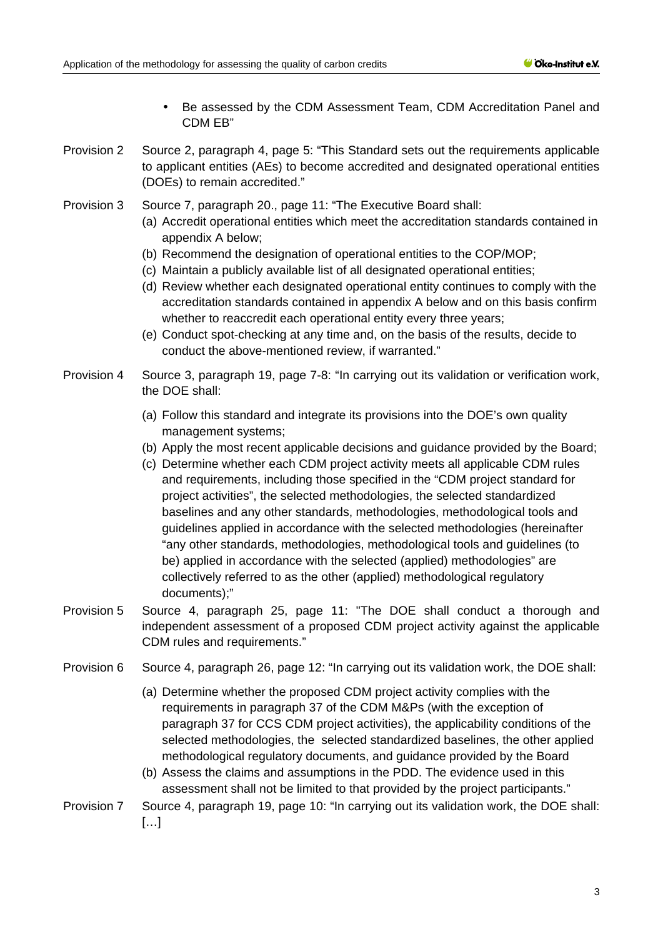- Be assessed by the CDM Assessment Team, CDM Accreditation Panel and CDM EB"
- Provision 2 Source 2, paragraph 4, page 5: "This Standard sets out the requirements applicable to applicant entities (AEs) to become accredited and designated operational entities (DOEs) to remain accredited."
- Provision 3 Source 7, paragraph 20., page 11: "The Executive Board shall:
	- (a) Accredit operational entities which meet the accreditation standards contained in appendix A below;
	- (b) Recommend the designation of operational entities to the COP/MOP;
	- (c) Maintain a publicly available list of all designated operational entities;
	- (d) Review whether each designated operational entity continues to comply with the accreditation standards contained in appendix A below and on this basis confirm whether to reaccredit each operational entity every three years;
	- (e) Conduct spot-checking at any time and, on the basis of the results, decide to conduct the above-mentioned review, if warranted."
- Provision 4 Source 3, paragraph 19, page 7-8: "In carrying out its validation or verification work, the DOE shall:
	- (a) Follow this standard and integrate its provisions into the DOE's own quality management systems;
	- (b) Apply the most recent applicable decisions and guidance provided by the Board;
	- (c) Determine whether each CDM project activity meets all applicable CDM rules and requirements, including those specified in the "CDM project standard for project activities", the selected methodologies, the selected standardized baselines and any other standards, methodologies, methodological tools and guidelines applied in accordance with the selected methodologies (hereinafter "any other standards, methodologies, methodological tools and guidelines (to be) applied in accordance with the selected (applied) methodologies" are collectively referred to as the other (applied) methodological regulatory documents);"
- Provision 5 Source 4, paragraph 25, page 11: "The DOE shall conduct a thorough and independent assessment of a proposed CDM project activity against the applicable CDM rules and requirements."
- Provision 6 Source 4, paragraph 26, page 12: "In carrying out its validation work, the DOE shall:
	- (a) Determine whether the proposed CDM project activity complies with the requirements in paragraph 37 of the CDM M&Ps (with the exception of paragraph 37 for CCS CDM project activities), the applicability conditions of the selected methodologies, the selected standardized baselines, the other applied methodological regulatory documents, and guidance provided by the Board
	- (b) Assess the claims and assumptions in the PDD. The evidence used in this assessment shall not be limited to that provided by the project participants."
- Provision 7 Source 4, paragraph 19, page 10: "In carrying out its validation work, the DOE shall:  $[...]$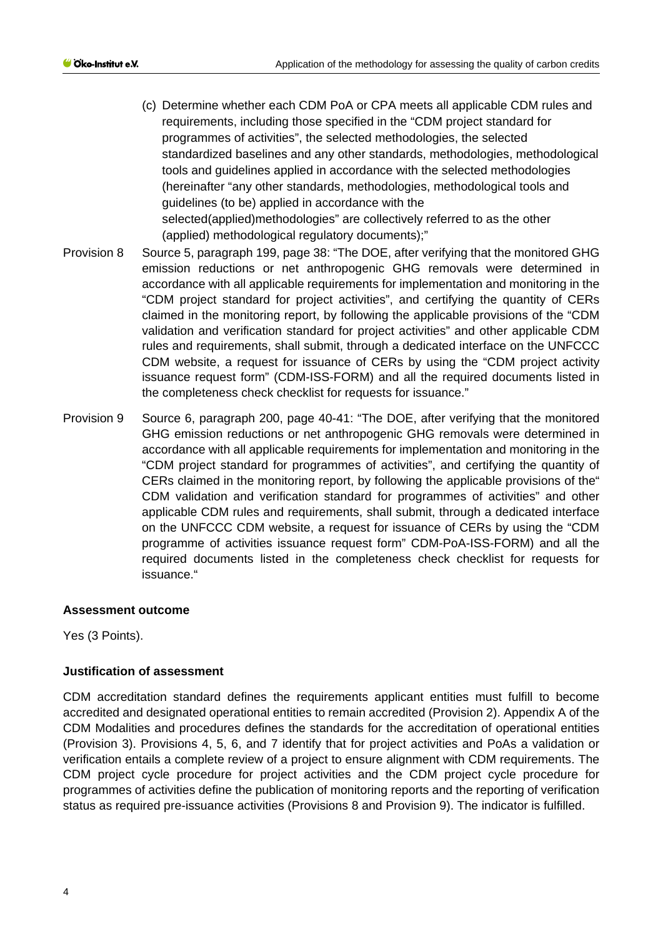- (c) Determine whether each CDM PoA or CPA meets all applicable CDM rules and requirements, including those specified in the "CDM project standard for programmes of activities", the selected methodologies, the selected standardized baselines and any other standards, methodologies, methodological tools and guidelines applied in accordance with the selected methodologies (hereinafter "any other standards, methodologies, methodological tools and guidelines (to be) applied in accordance with the selected(applied)methodologies" are collectively referred to as the other (applied) methodological regulatory documents);"
- Provision 8 Source 5, paragraph 199, page 38: "The DOE, after verifying that the monitored GHG emission reductions or net anthropogenic GHG removals were determined in accordance with all applicable requirements for implementation and monitoring in the "CDM project standard for project activities", and certifying the quantity of CERs claimed in the monitoring report, by following the applicable provisions of the "CDM validation and verification standard for project activities" and other applicable CDM rules and requirements, shall submit, through a dedicated interface on the UNFCCC CDM website, a request for issuance of CERs by using the "CDM project activity issuance request form" (CDM-ISS-FORM) and all the required documents listed in the completeness check checklist for requests for issuance."
- Provision 9 Source 6, paragraph 200, page 40-41: "The DOE, after verifying that the monitored GHG emission reductions or net anthropogenic GHG removals were determined in accordance with all applicable requirements for implementation and monitoring in the "CDM project standard for programmes of activities", and certifying the quantity of CERs claimed in the monitoring report, by following the applicable provisions of the" CDM validation and verification standard for programmes of activities" and other applicable CDM rules and requirements, shall submit, through a dedicated interface on the UNFCCC CDM website, a request for issuance of CERs by using the "CDM programme of activities issuance request form" CDM-PoA-ISS-FORM) and all the required documents listed in the completeness check checklist for requests for issuance."

Yes (3 Points).

#### **Justification of assessment**

CDM accreditation standard defines the requirements applicant entities must fulfill to become accredited and designated operational entities to remain accredited (Provision 2). Appendix A of the CDM Modalities and procedures defines the standards for the accreditation of operational entities (Provision 3). Provisions 4, 5, 6, and 7 identify that for project activities and PoAs a validation or verification entails a complete review of a project to ensure alignment with CDM requirements. The CDM project cycle procedure for project activities and the CDM project cycle procedure for programmes of activities define the publication of monitoring reports and the reporting of verification status as required pre-issuance activities (Provisions 8 and Provision 9). The indicator is fulfilled.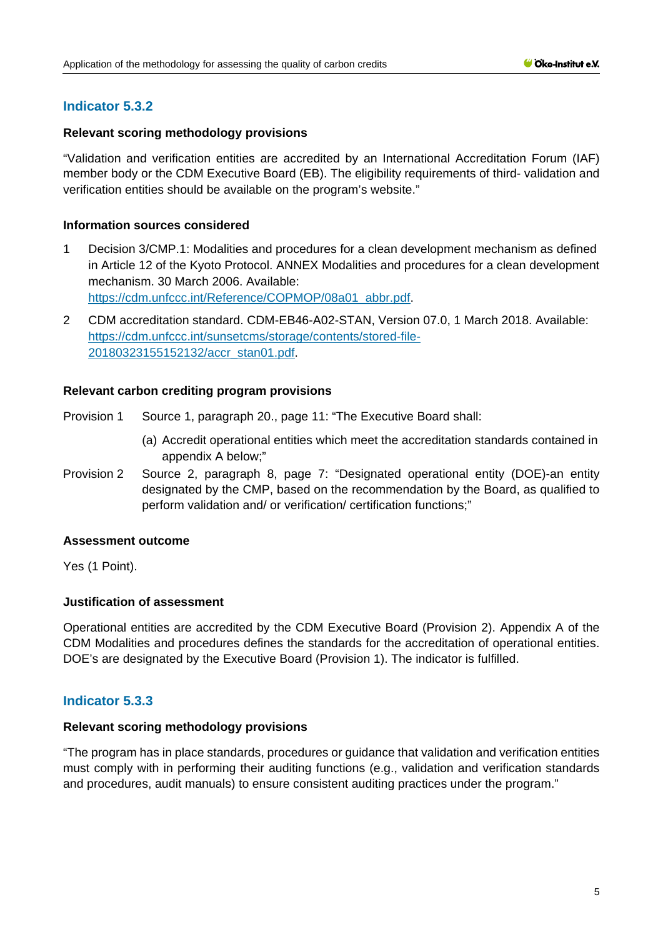## **Indicator 5.3.2**

#### **Relevant scoring methodology provisions**

"Validation and verification entities are accredited by an International Accreditation Forum (IAF) member body or the CDM Executive Board (EB). The eligibility requirements of third- validation and verification entities should be available on the program's website."

#### **Information sources considered**

- 1 Decision 3/CMP.1: Modalities and procedures for a clean development mechanism as defined in Article 12 of the Kyoto Protocol. ANNEX Modalities and procedures for a clean development mechanism. 30 March 2006. Available: [https://cdm.unfccc.int/Reference/COPMOP/08a01\\_abbr.pdf.](https://cdm.unfccc.int/Reference/COPMOP/08a01_abbr.pdf)
- 2 CDM accreditation standard. CDM-EB46-A02-STAN, Version 07.0, 1 March 2018. Available: [https://cdm.unfccc.int/sunsetcms/storage/contents/stored-file-](https://cdm.unfccc.int/sunsetcms/storage/contents/stored-file-20180323155152132/accr_stan01.pdf)[20180323155152132/accr\\_stan01.pdf.](https://cdm.unfccc.int/sunsetcms/storage/contents/stored-file-20180323155152132/accr_stan01.pdf)

#### **Relevant carbon crediting program provisions**

Provision 1 Source 1, paragraph 20., page 11: "The Executive Board shall:

- (a) Accredit operational entities which meet the accreditation standards contained in appendix A below;"
- Provision 2 Source 2, paragraph 8, page 7: "Designated operational entity (DOE)-an entity designated by the CMP, based on the recommendation by the Board, as qualified to perform validation and/ or verification/ certification functions;"

#### **Assessment outcome**

Yes (1 Point).

#### **Justification of assessment**

Operational entities are accredited by the CDM Executive Board (Provision 2). Appendix A of the CDM Modalities and procedures defines the standards for the accreditation of operational entities. DOE's are designated by the Executive Board (Provision 1). The indicator is fulfilled.

## **Indicator 5.3.3**

#### **Relevant scoring methodology provisions**

"The program has in place standards, procedures or guidance that validation and verification entities must comply with in performing their auditing functions (e.g., validation and verification standards and procedures, audit manuals) to ensure consistent auditing practices under the program."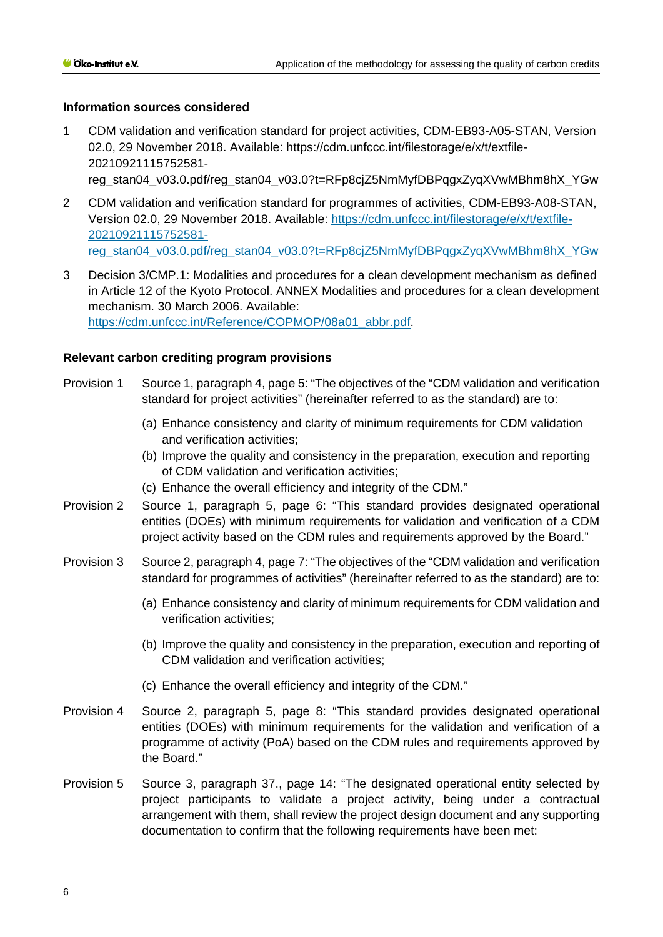#### **Information sources considered**

- 1 CDM validation and verification standard for project activities, CDM-EB93-A05-STAN, Version 02.0, 29 November 2018. Available: https://cdm.unfccc.int/filestorage/e/x/t/extfile-20210921115752581 reg\_stan04\_v03.0.pdf/reg\_stan04\_v03.0?t=RFp8cjZ5NmMyfDBPqgxZyqXVwMBhm8hX\_YGw
- 2 CDM validation and verification standard for programmes of activities, CDM-EB93-A08-STAN, Version 02.0, 29 November 2018. Available: [https://cdm.unfccc.int/filestorage/e/x/t/extfile-](https://cdm.unfccc.int/filestorage/e/x/t/extfile-20210921115752581-reg_stan04_v03.0.pdf/reg_stan04_v03.0?t=RFp8cjZ5NmMyfDBPqgxZyqXVwMBhm8hX_YGw)[20210921115752581](https://cdm.unfccc.int/filestorage/e/x/t/extfile-20210921115752581-reg_stan04_v03.0.pdf/reg_stan04_v03.0?t=RFp8cjZ5NmMyfDBPqgxZyqXVwMBhm8hX_YGw) [reg\\_stan04\\_v03.0.pdf/reg\\_stan04\\_v03.0?t=RFp8cjZ5NmMyfDBPqgxZyqXVwMBhm8hX\\_YGw](https://cdm.unfccc.int/filestorage/e/x/t/extfile-20210921115752581-reg_stan04_v03.0.pdf/reg_stan04_v03.0?t=RFp8cjZ5NmMyfDBPqgxZyqXVwMBhm8hX_YGw)
- 3 Decision 3/CMP.1: Modalities and procedures for a clean development mechanism as defined in Article 12 of the Kyoto Protocol. ANNEX Modalities and procedures for a clean development mechanism. 30 March 2006. Available: [https://cdm.unfccc.int/Reference/COPMOP/08a01\\_abbr.pdf.](https://cdm.unfccc.int/Reference/COPMOP/08a01_abbr.pdf)

| Provision 1 | Source 1, paragraph 4, page 5: "The objectives of the "CDM validation and verification<br>standard for project activities" (hereinafter referred to as the standard) are to:                                                                                                                                                        |
|-------------|-------------------------------------------------------------------------------------------------------------------------------------------------------------------------------------------------------------------------------------------------------------------------------------------------------------------------------------|
|             | (a) Enhance consistency and clarity of minimum requirements for CDM validation<br>and verification activities;<br>(b) Improve the quality and consistency in the preparation, execution and reporting                                                                                                                               |
|             | of CDM validation and verification activities;                                                                                                                                                                                                                                                                                      |
| Provision 2 | (c) Enhance the overall efficiency and integrity of the CDM."<br>Source 1, paragraph 5, page 6: "This standard provides designated operational<br>entities (DOEs) with minimum requirements for validation and verification of a CDM<br>project activity based on the CDM rules and requirements approved by the Board."            |
| Provision 3 | Source 2, paragraph 4, page 7: "The objectives of the "CDM validation and verification<br>standard for programmes of activities" (hereinafter referred to as the standard) are to:                                                                                                                                                  |
|             | (a) Enhance consistency and clarity of minimum requirements for CDM validation and<br>verification activities;                                                                                                                                                                                                                      |
|             | (b) Improve the quality and consistency in the preparation, execution and reporting of<br>CDM validation and verification activities;                                                                                                                                                                                               |
|             | (c) Enhance the overall efficiency and integrity of the CDM."                                                                                                                                                                                                                                                                       |
| Provision 4 | Source 2, paragraph 5, page 8: "This standard provides designated operational<br>entities (DOEs) with minimum requirements for the validation and verification of a<br>programme of activity (PoA) based on the CDM rules and requirements approved by<br>the Board."                                                               |
| Provision 5 | Source 3, paragraph 37., page 14: "The designated operational entity selected by<br>project participants to validate a project activity, being under a contractual<br>arrangement with them, shall review the project design document and any supporting<br>documentation to confirm that the following requirements have been met: |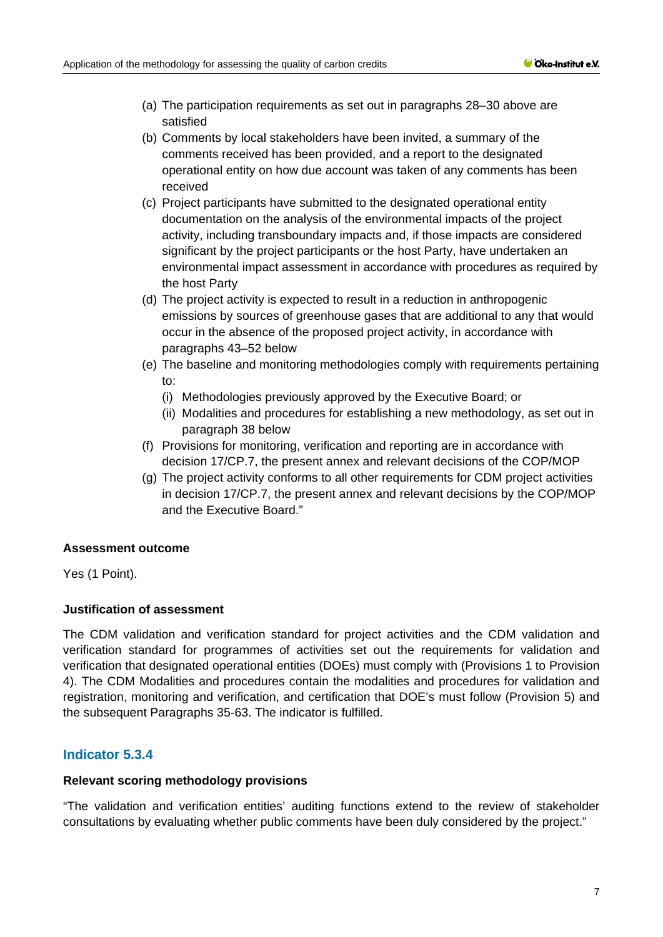- (a) The participation requirements as set out in paragraphs 28–30 above are satisfied
- (b) Comments by local stakeholders have been invited, a summary of the comments received has been provided, and a report to the designated operational entity on how due account was taken of any comments has been received
- (c) Project participants have submitted to the designated operational entity documentation on the analysis of the environmental impacts of the project activity, including transboundary impacts and, if those impacts are considered significant by the project participants or the host Party, have undertaken an environmental impact assessment in accordance with procedures as required by the host Party
- (d) The project activity is expected to result in a reduction in anthropogenic emissions by sources of greenhouse gases that are additional to any that would occur in the absence of the proposed project activity, in accordance with paragraphs 43–52 below
- (e) The baseline and monitoring methodologies comply with requirements pertaining to:
	- (i) Methodologies previously approved by the Executive Board; or
	- (ii) Modalities and procedures for establishing a new methodology, as set out in paragraph 38 below
- (f) Provisions for monitoring, verification and reporting are in accordance with decision 17/CP.7, the present annex and relevant decisions of the COP/MOP
- (g) The project activity conforms to all other requirements for CDM project activities in decision 17/CP.7, the present annex and relevant decisions by the COP/MOP and the Executive Board."

Yes (1 Point).

## **Justification of assessment**

The CDM validation and verification standard for project activities and the CDM validation and verification standard for programmes of activities set out the requirements for validation and verification that designated operational entities (DOEs) must comply with (Provisions 1 to Provision 4). The CDM Modalities and procedures contain the modalities and procedures for validation and registration, monitoring and verification, and certification that DOE's must follow (Provision 5) and the subsequent Paragraphs 35-63. The indicator is fulfilled.

## **Indicator 5.3.4**

#### **Relevant scoring methodology provisions**

"The validation and verification entities' auditing functions extend to the review of stakeholder consultations by evaluating whether public comments have been duly considered by the project."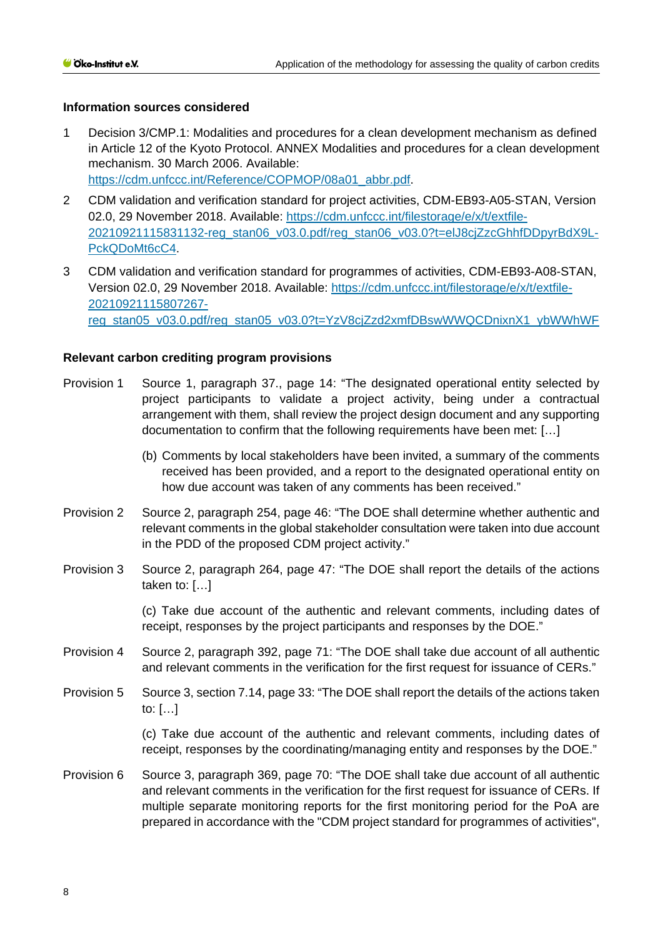#### **Information sources considered**

- 1 Decision 3/CMP.1: Modalities and procedures for a clean development mechanism as defined in Article 12 of the Kyoto Protocol. ANNEX Modalities and procedures for a clean development mechanism. 30 March 2006. Available: [https://cdm.unfccc.int/Reference/COPMOP/08a01\\_abbr.pdf.](https://cdm.unfccc.int/Reference/COPMOP/08a01_abbr.pdf)
- 2 CDM validation and verification standard for project activities, CDM-EB93-A05-STAN, Version 02.0, 29 November 2018. Available: [https://cdm.unfccc.int/filestorage/e/x/t/extfile-](https://cdm.unfccc.int/filestorage/e/x/t/extfile-20210921115831132-reg_stan06_v03.0.pdf/reg_stan06_v03.0?t=elJ8cjZzcGhhfDDpyrBdX9L-PckQDoMt6cC4)[20210921115831132-reg\\_stan06\\_v03.0.pdf/reg\\_stan06\\_v03.0?t=elJ8cjZzcGhhfDDpyrBdX9L-](https://cdm.unfccc.int/filestorage/e/x/t/extfile-20210921115831132-reg_stan06_v03.0.pdf/reg_stan06_v03.0?t=elJ8cjZzcGhhfDDpyrBdX9L-PckQDoMt6cC4)[PckQDoMt6cC4.](https://cdm.unfccc.int/filestorage/e/x/t/extfile-20210921115831132-reg_stan06_v03.0.pdf/reg_stan06_v03.0?t=elJ8cjZzcGhhfDDpyrBdX9L-PckQDoMt6cC4)
- 3 CDM validation and verification standard for programmes of activities, CDM-EB93-A08-STAN, Version 02.0, 29 November 2018. Available: [https://cdm.unfccc.int/filestorage/e/x/t/extfile-](https://cdm.unfccc.int/filestorage/e/x/t/extfile-20210921115807267-reg_stan05_v03.0.pdf/reg_stan05_v03.0?t=YzV8cjZzd2xmfDBswWWQCDnixnX1_ybWWhWF)[20210921115807267](https://cdm.unfccc.int/filestorage/e/x/t/extfile-20210921115807267-reg_stan05_v03.0.pdf/reg_stan05_v03.0?t=YzV8cjZzd2xmfDBswWWQCDnixnX1_ybWWhWF) [reg\\_stan05\\_v03.0.pdf/reg\\_stan05\\_v03.0?t=YzV8cjZzd2xmfDBswWWQCDnixnX1\\_ybWWhWF](https://cdm.unfccc.int/filestorage/e/x/t/extfile-20210921115807267-reg_stan05_v03.0.pdf/reg_stan05_v03.0?t=YzV8cjZzd2xmfDBswWWQCDnixnX1_ybWWhWF)

#### **Relevant carbon crediting program provisions**

- Provision 1 Source 1, paragraph 37., page 14: "The designated operational entity selected by project participants to validate a project activity, being under a contractual arrangement with them, shall review the project design document and any supporting documentation to confirm that the following requirements have been met: […]
	- (b) Comments by local stakeholders have been invited, a summary of the comments received has been provided, and a report to the designated operational entity on how due account was taken of any comments has been received."
- Provision 2 Source 2, paragraph 254, page 46: "The DOE shall determine whether authentic and relevant comments in the global stakeholder consultation were taken into due account in the PDD of the proposed CDM project activity."
- Provision 3 Source 2, paragraph 264, page 47: "The DOE shall report the details of the actions taken to: […]

(c) Take due account of the authentic and relevant comments, including dates of receipt, responses by the project participants and responses by the DOE."

- Provision 4 Source 2, paragraph 392, page 71: "The DOE shall take due account of all authentic and relevant comments in the verification for the first request for issuance of CERs."
- Provision 5 Source 3, section 7.14, page 33: "The DOE shall report the details of the actions taken to: […]

(c) Take due account of the authentic and relevant comments, including dates of receipt, responses by the coordinating/managing entity and responses by the DOE."

Provision 6 Source 3, paragraph 369, page 70: "The DOE shall take due account of all authentic and relevant comments in the verification for the first request for issuance of CERs. If multiple separate monitoring reports for the first monitoring period for the PoA are prepared in accordance with the "CDM project standard for programmes of activities",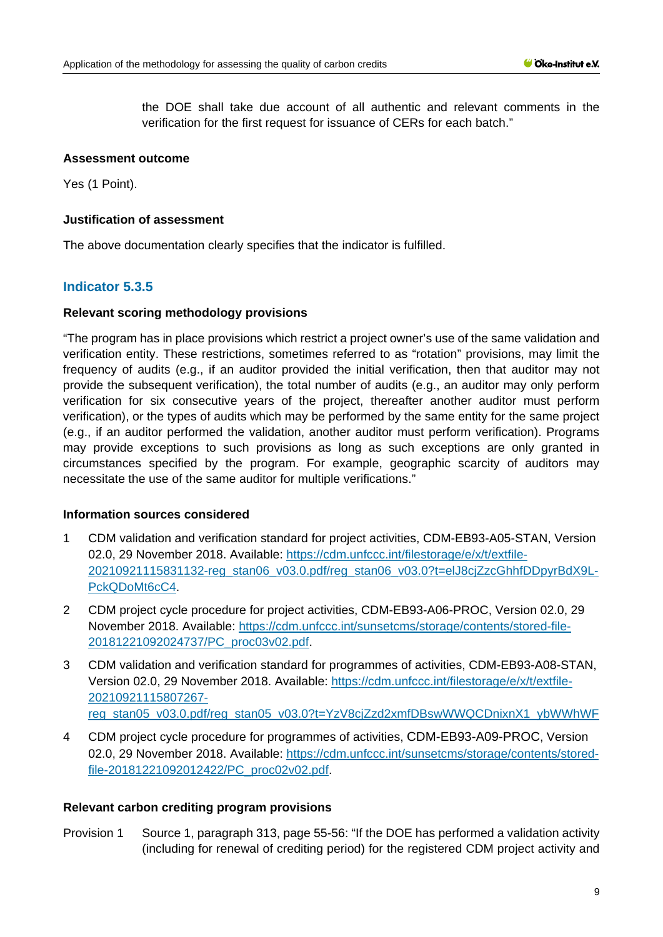the DOE shall take due account of all authentic and relevant comments in the verification for the first request for issuance of CERs for each batch."

## **Assessment outcome**

Yes (1 Point).

#### **Justification of assessment**

The above documentation clearly specifies that the indicator is fulfilled.

## **Indicator 5.3.5**

#### **Relevant scoring methodology provisions**

"The program has in place provisions which restrict a project owner's use of the same validation and verification entity. These restrictions, sometimes referred to as "rotation" provisions, may limit the frequency of audits (e.g., if an auditor provided the initial verification, then that auditor may not provide the subsequent verification), the total number of audits (e.g., an auditor may only perform verification for six consecutive years of the project, thereafter another auditor must perform verification), or the types of audits which may be performed by the same entity for the same project (e.g., if an auditor performed the validation, another auditor must perform verification). Programs may provide exceptions to such provisions as long as such exceptions are only granted in circumstances specified by the program. For example, geographic scarcity of auditors may necessitate the use of the same auditor for multiple verifications."

#### **Information sources considered**

- 1 CDM validation and verification standard for project activities, CDM-EB93-A05-STAN, Version 02.0, 29 November 2018. Available: [https://cdm.unfccc.int/filestorage/e/x/t/extfile-](https://cdm.unfccc.int/filestorage/e/x/t/extfile-20210921115831132-reg_stan06_v03.0.pdf/reg_stan06_v03.0?t=elJ8cjZzcGhhfDDpyrBdX9L-PckQDoMt6cC4)[20210921115831132-reg\\_stan06\\_v03.0.pdf/reg\\_stan06\\_v03.0?t=elJ8cjZzcGhhfDDpyrBdX9L-](https://cdm.unfccc.int/filestorage/e/x/t/extfile-20210921115831132-reg_stan06_v03.0.pdf/reg_stan06_v03.0?t=elJ8cjZzcGhhfDDpyrBdX9L-PckQDoMt6cC4)[PckQDoMt6cC4.](https://cdm.unfccc.int/filestorage/e/x/t/extfile-20210921115831132-reg_stan06_v03.0.pdf/reg_stan06_v03.0?t=elJ8cjZzcGhhfDDpyrBdX9L-PckQDoMt6cC4)
- 2 CDM project cycle procedure for project activities, CDM-EB93-A06-PROC, Version 02.0, 29 November 2018. Available: [https://cdm.unfccc.int/sunsetcms/storage/contents/stored-file-](https://cdm.unfccc.int/sunsetcms/storage/contents/stored-file-20181221092024737/PC_proc03v02.pdf)[20181221092024737/PC\\_proc03v02.pdf.](https://cdm.unfccc.int/sunsetcms/storage/contents/stored-file-20181221092024737/PC_proc03v02.pdf)
- 3 CDM validation and verification standard for programmes of activities, CDM-EB93-A08-STAN, Version 02.0, 29 November 2018. Available: [https://cdm.unfccc.int/filestorage/e/x/t/extfile-](https://cdm.unfccc.int/filestorage/e/x/t/extfile-20210921115807267-reg_stan05_v03.0.pdf/reg_stan05_v03.0?t=YzV8cjZzd2xmfDBswWWQCDnixnX1_ybWWhWF)[20210921115807267](https://cdm.unfccc.int/filestorage/e/x/t/extfile-20210921115807267-reg_stan05_v03.0.pdf/reg_stan05_v03.0?t=YzV8cjZzd2xmfDBswWWQCDnixnX1_ybWWhWF) reg\_stan05\_v03.0.pdf/reg\_stan05\_v03.0?t=YzV8ciZzd2xmfDBswWWQCDnixnX1\_vbWWhWF
- 4 CDM project cycle procedure for programmes of activities, CDM-EB93-A09-PROC, Version 02.0, 29 November 2018. Available: [https://cdm.unfccc.int/sunsetcms/storage/contents/stored](https://cdm.unfccc.int/sunsetcms/storage/contents/stored-file-20181221092012422/PC_proc02v02.pdf)[file-20181221092012422/PC\\_proc02v02.pdf.](https://cdm.unfccc.int/sunsetcms/storage/contents/stored-file-20181221092012422/PC_proc02v02.pdf)

#### **Relevant carbon crediting program provisions**

Provision 1 Source 1, paragraph 313, page 55-56: "If the DOE has performed a validation activity (including for renewal of crediting period) for the registered CDM project activity and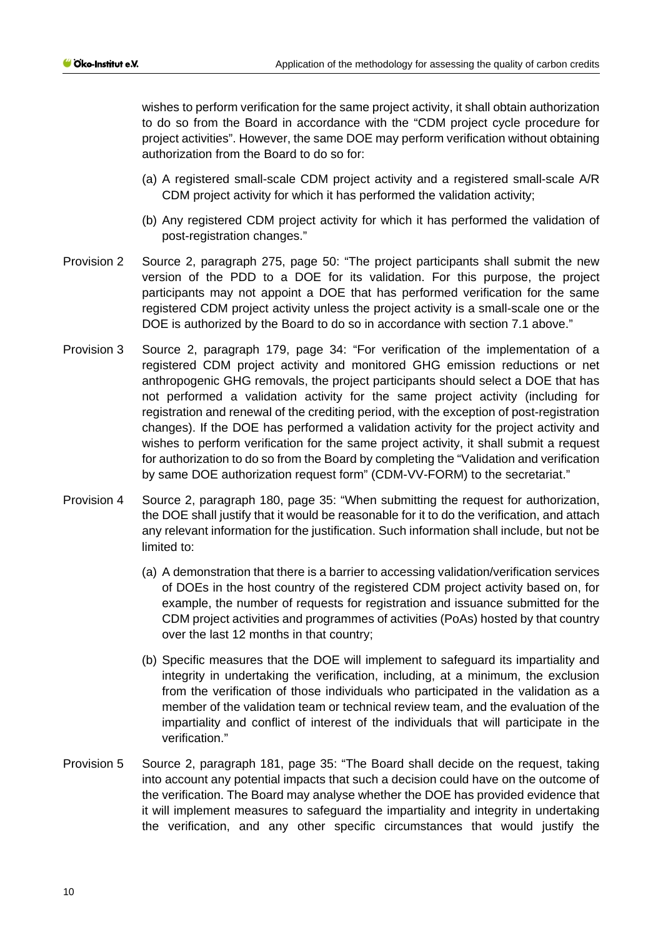wishes to perform verification for the same project activity, it shall obtain authorization to do so from the Board in accordance with the "CDM project cycle procedure for project activities". However, the same DOE may perform verification without obtaining authorization from the Board to do so for:

- (a) A registered small-scale CDM project activity and a registered small-scale A/R CDM project activity for which it has performed the validation activity;
- (b) Any registered CDM project activity for which it has performed the validation of post-registration changes."
- Provision 2 Source 2, paragraph 275, page 50: "The project participants shall submit the new version of the PDD to a DOE for its validation. For this purpose, the project participants may not appoint a DOE that has performed verification for the same registered CDM project activity unless the project activity is a small-scale one or the DOE is authorized by the Board to do so in accordance with section 7.1 above."
- Provision 3 Source 2, paragraph 179, page 34: "For verification of the implementation of a registered CDM project activity and monitored GHG emission reductions or net anthropogenic GHG removals, the project participants should select a DOE that has not performed a validation activity for the same project activity (including for registration and renewal of the crediting period, with the exception of post-registration changes). If the DOE has performed a validation activity for the project activity and wishes to perform verification for the same project activity, it shall submit a request for authorization to do so from the Board by completing the "Validation and verification by same DOE authorization request form" (CDM-VV-FORM) to the secretariat."
- Provision 4 Source 2, paragraph 180, page 35: "When submitting the request for authorization, the DOE shall justify that it would be reasonable for it to do the verification, and attach any relevant information for the justification. Such information shall include, but not be limited to:
	- (a) A demonstration that there is a barrier to accessing validation/verification services of DOEs in the host country of the registered CDM project activity based on, for example, the number of requests for registration and issuance submitted for the CDM project activities and programmes of activities (PoAs) hosted by that country over the last 12 months in that country;
	- (b) Specific measures that the DOE will implement to safeguard its impartiality and integrity in undertaking the verification, including, at a minimum, the exclusion from the verification of those individuals who participated in the validation as a member of the validation team or technical review team, and the evaluation of the impartiality and conflict of interest of the individuals that will participate in the verification."
- Provision 5 Source 2, paragraph 181, page 35: "The Board shall decide on the request, taking into account any potential impacts that such a decision could have on the outcome of the verification. The Board may analyse whether the DOE has provided evidence that it will implement measures to safeguard the impartiality and integrity in undertaking the verification, and any other specific circumstances that would justify the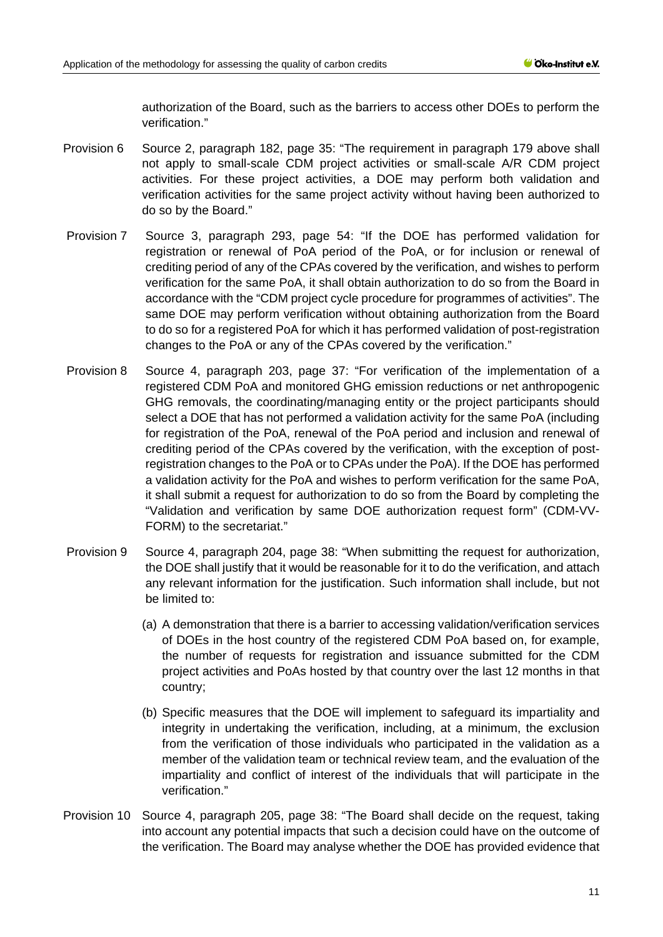authorization of the Board, such as the barriers to access other DOEs to perform the verification."

- Provision 6 Source 2, paragraph 182, page 35: "The requirement in paragraph 179 above shall not apply to small-scale CDM project activities or small-scale A/R CDM project activities. For these project activities, a DOE may perform both validation and verification activities for the same project activity without having been authorized to do so by the Board."
- Provision 7 Source 3, paragraph 293, page 54: "If the DOE has performed validation for registration or renewal of PoA period of the PoA, or for inclusion or renewal of crediting period of any of the CPAs covered by the verification, and wishes to perform verification for the same PoA, it shall obtain authorization to do so from the Board in accordance with the "CDM project cycle procedure for programmes of activities". The same DOE may perform verification without obtaining authorization from the Board to do so for a registered PoA for which it has performed validation of post-registration changes to the PoA or any of the CPAs covered by the verification."
- Provision 8 Source 4, paragraph 203, page 37: "For verification of the implementation of a registered CDM PoA and monitored GHG emission reductions or net anthropogenic GHG removals, the coordinating/managing entity or the project participants should select a DOE that has not performed a validation activity for the same PoA (including for registration of the PoA, renewal of the PoA period and inclusion and renewal of crediting period of the CPAs covered by the verification, with the exception of postregistration changes to the PoA or to CPAs under the PoA). If the DOE has performed a validation activity for the PoA and wishes to perform verification for the same PoA, it shall submit a request for authorization to do so from the Board by completing the "Validation and verification by same DOE authorization request form" (CDM-VV-FORM) to the secretariat."
- Provision 9 Source 4, paragraph 204, page 38: "When submitting the request for authorization, the DOE shall justify that it would be reasonable for it to do the verification, and attach any relevant information for the justification. Such information shall include, but not be limited to:
	- (a) A demonstration that there is a barrier to accessing validation/verification services of DOEs in the host country of the registered CDM PoA based on, for example, the number of requests for registration and issuance submitted for the CDM project activities and PoAs hosted by that country over the last 12 months in that country;
	- (b) Specific measures that the DOE will implement to safeguard its impartiality and integrity in undertaking the verification, including, at a minimum, the exclusion from the verification of those individuals who participated in the validation as a member of the validation team or technical review team, and the evaluation of the impartiality and conflict of interest of the individuals that will participate in the verification."
- Provision 10 Source 4, paragraph 205, page 38: "The Board shall decide on the request, taking into account any potential impacts that such a decision could have on the outcome of the verification. The Board may analyse whether the DOE has provided evidence that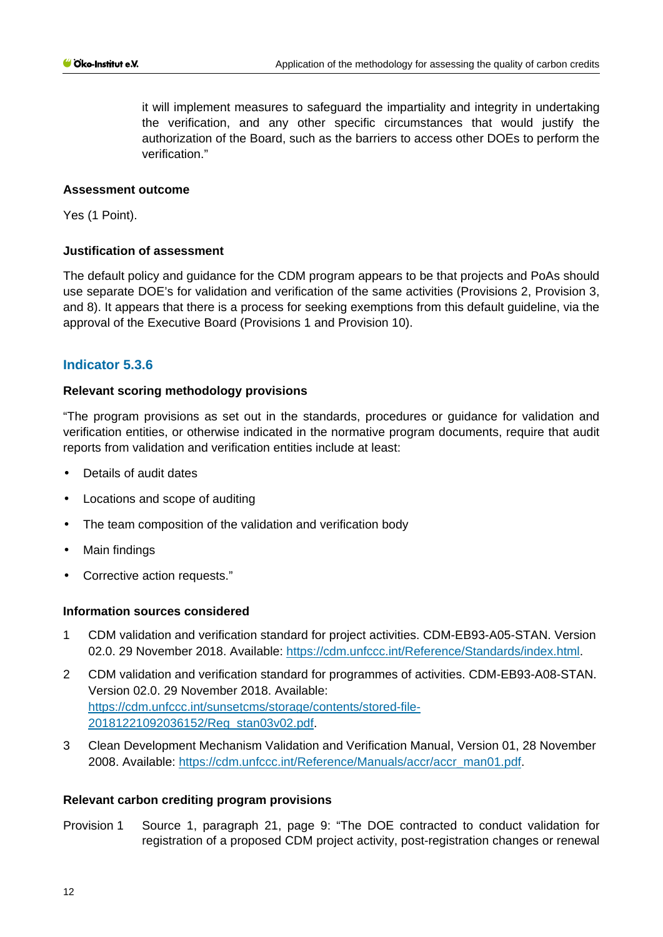it will implement measures to safeguard the impartiality and integrity in undertaking the verification, and any other specific circumstances that would justify the authorization of the Board, such as the barriers to access other DOEs to perform the verification."

#### **Assessment outcome**

Yes (1 Point).

#### **Justification of assessment**

The default policy and guidance for the CDM program appears to be that projects and PoAs should use separate DOE's for validation and verification of the same activities (Provisions 2, Provision 3, and 8). It appears that there is a process for seeking exemptions from this default guideline, via the approval of the Executive Board (Provisions 1 and Provision 10).

#### **Indicator 5.3.6**

#### **Relevant scoring methodology provisions**

"The program provisions as set out in the standards, procedures or guidance for validation and verification entities, or otherwise indicated in the normative program documents, require that audit reports from validation and verification entities include at least:

- Details of audit dates
- Locations and scope of auditing
- The team composition of the validation and verification body
- Main findings  $\mathbf{r}$
- $\mathcal{L}^{\mathcal{L}}$ Corrective action requests."

#### **Information sources considered**

- 1 CDM validation and verification standard for project activities. CDM-EB93-A05-STAN. Version 02.0. 29 November 2018. Available: [https://cdm.unfccc.int/Reference/Standards/index.html.](https://cdm.unfccc.int/Reference/Standards/index.html)
- 2 CDM validation and verification standard for programmes of activities. CDM-EB93-A08-STAN. Version 02.0. 29 November 2018. Available: [https://cdm.unfccc.int/sunsetcms/storage/contents/stored-file-](https://cdm.unfccc.int/sunsetcms/storage/contents/stored-file-20181221092036152/Reg_stan03v02.pdf)[20181221092036152/Reg\\_stan03v02.pdf.](https://cdm.unfccc.int/sunsetcms/storage/contents/stored-file-20181221092036152/Reg_stan03v02.pdf)
- 3 Clean Development Mechanism Validation and Verification Manual, Version 01, 28 November 2008. Available: [https://cdm.unfccc.int/Reference/Manuals/accr/accr\\_man01.pdf.](https://cdm.unfccc.int/Reference/Manuals/accr/accr_man01.pdf)

#### **Relevant carbon crediting program provisions**

Provision 1 Source 1, paragraph 21, page 9: "The DOE contracted to conduct validation for registration of a proposed CDM project activity, post-registration changes or renewal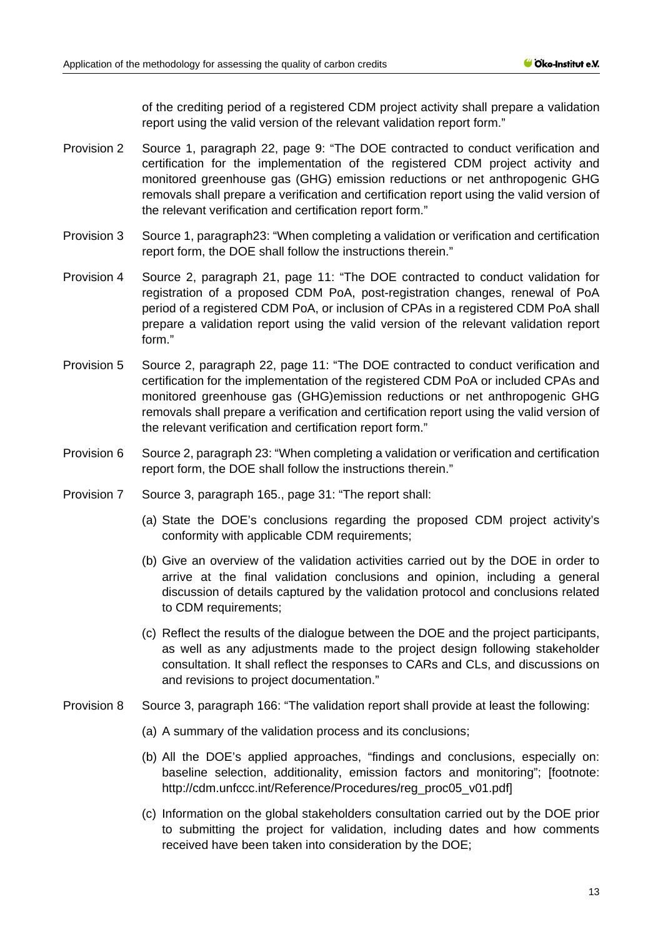of the crediting period of a registered CDM project activity shall prepare a validation report using the valid version of the relevant validation report form."

- Provision 2 Source 1, paragraph 22, page 9: "The DOE contracted to conduct verification and certification for the implementation of the registered CDM project activity and monitored greenhouse gas (GHG) emission reductions or net anthropogenic GHG removals shall prepare a verification and certification report using the valid version of the relevant verification and certification report form."
- Provision 3 Source 1, paragraph23: "When completing a validation or verification and certification report form, the DOE shall follow the instructions therein."
- Provision 4 Source 2, paragraph 21, page 11: "The DOE contracted to conduct validation for registration of a proposed CDM PoA, post-registration changes, renewal of PoA period of a registered CDM PoA, or inclusion of CPAs in a registered CDM PoA shall prepare a validation report using the valid version of the relevant validation report form."
- Provision 5 Source 2, paragraph 22, page 11: "The DOE contracted to conduct verification and certification for the implementation of the registered CDM PoA or included CPAs and monitored greenhouse gas (GHG)emission reductions or net anthropogenic GHG removals shall prepare a verification and certification report using the valid version of the relevant verification and certification report form."
- Provision 6 Source 2, paragraph 23: "When completing a validation or verification and certification report form, the DOE shall follow the instructions therein."
- Provision 7 Source 3, paragraph 165., page 31: "The report shall:
	- (a) State the DOE's conclusions regarding the proposed CDM project activity's conformity with applicable CDM requirements;
	- (b) Give an overview of the validation activities carried out by the DOE in order to arrive at the final validation conclusions and opinion, including a general discussion of details captured by the validation protocol and conclusions related to CDM requirements;
	- (c) Reflect the results of the dialogue between the DOE and the project participants, as well as any adjustments made to the project design following stakeholder consultation. It shall reflect the responses to CARs and CLs, and discussions on and revisions to project documentation."
- Provision 8 Source 3, paragraph 166: "The validation report shall provide at least the following:
	- (a) A summary of the validation process and its conclusions;
	- (b) All the DOE's applied approaches, "findings and conclusions, especially on: baseline selection, additionality, emission factors and monitoring"; [footnote: http://cdm.unfccc.int/Reference/Procedures/reg\_proc05\_v01.pdf]
	- (c) Information on the global stakeholders consultation carried out by the DOE prior to submitting the project for validation, including dates and how comments received have been taken into consideration by the DOE;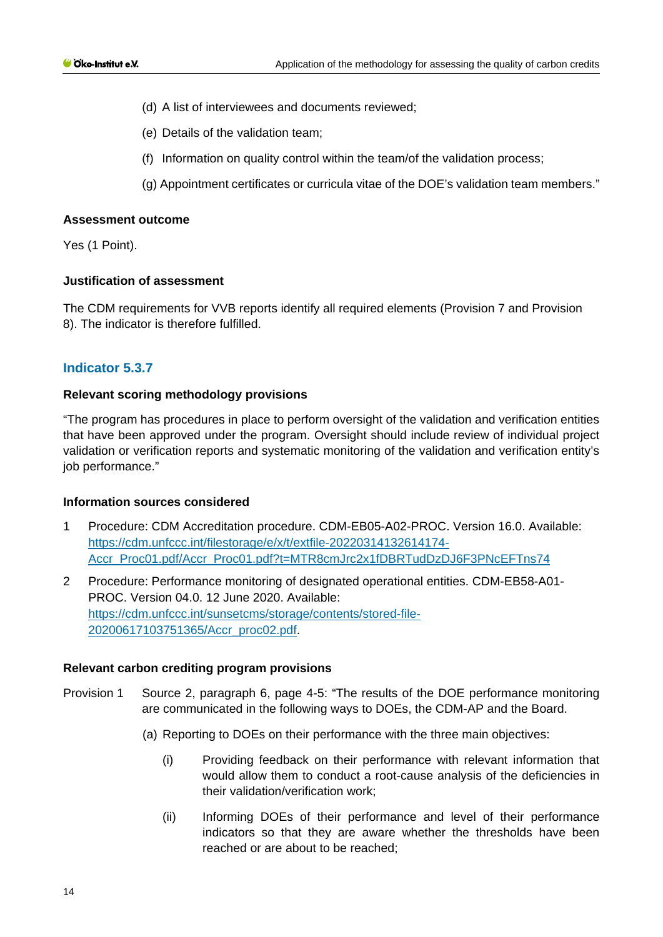- (d) A list of interviewees and documents reviewed;
- (e) Details of the validation team;
- (f) Information on quality control within the team/of the validation process;
- (g) Appointment certificates or curricula vitae of the DOE's validation team members."

Yes (1 Point).

#### **Justification of assessment**

The CDM requirements for VVB reports identify all required elements (Provision 7 and Provision 8). The indicator is therefore fulfilled.

## **Indicator 5.3.7**

#### **Relevant scoring methodology provisions**

"The program has procedures in place to perform oversight of the validation and verification entities that have been approved under the program. Oversight should include review of individual project validation or verification reports and systematic monitoring of the validation and verification entity's job performance."

#### **Information sources considered**

- 1 Procedure: CDM Accreditation procedure. CDM-EB05-A02-PROC. Version 16.0. Available: [https://cdm.unfccc.int/filestorage/e/x/t/extfile-20220314132614174-](https://cdm.unfccc.int/filestorage/e/x/t/extfile-20220314132614174-Accr_Proc01.pdf/Accr_Proc01.pdf?t=MTR8cmJrc2x1fDBRTudDzDJ6F3PNcEFTns74) [Accr\\_Proc01.pdf/Accr\\_Proc01.pdf?t=MTR8cmJrc2x1fDBRTudDzDJ6F3PNcEFTns74](https://cdm.unfccc.int/filestorage/e/x/t/extfile-20220314132614174-Accr_Proc01.pdf/Accr_Proc01.pdf?t=MTR8cmJrc2x1fDBRTudDzDJ6F3PNcEFTns74)
- 2 Procedure: Performance monitoring of designated operational entities. CDM-EB58-A01- PROC. Version 04.0. 12 June 2020. Available: [https://cdm.unfccc.int/sunsetcms/storage/contents/stored-file-](https://cdm.unfccc.int/sunsetcms/storage/contents/stored-file-20200617103751365/Accr_proc02.pdf)[20200617103751365/Accr\\_proc02.pdf.](https://cdm.unfccc.int/sunsetcms/storage/contents/stored-file-20200617103751365/Accr_proc02.pdf)

- Provision 1 Source 2, paragraph 6, page 4-5: "The results of the DOE performance monitoring are communicated in the following ways to DOEs, the CDM-AP and the Board.
	- (a) Reporting to DOEs on their performance with the three main objectives:
		- (i) Providing feedback on their performance with relevant information that would allow them to conduct a root-cause analysis of the deficiencies in their validation/verification work;
		- (ii) Informing DOEs of their performance and level of their performance indicators so that they are aware whether the thresholds have been reached or are about to be reached;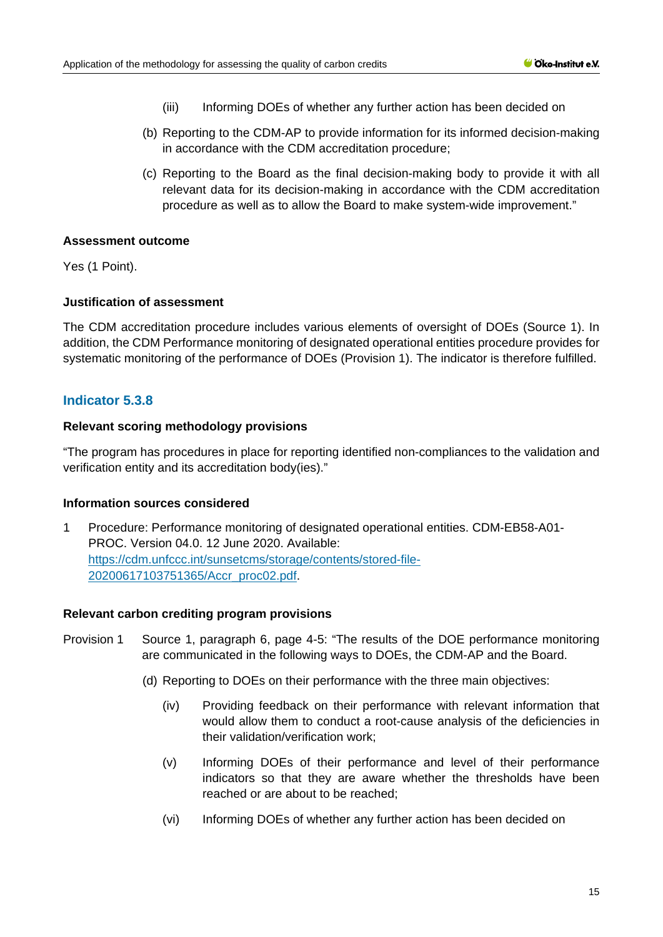- (iii) Informing DOEs of whether any further action has been decided on
- (b) Reporting to the CDM-AP to provide information for its informed decision-making in accordance with the CDM accreditation procedure;
- (c) Reporting to the Board as the final decision-making body to provide it with all relevant data for its decision-making in accordance with the CDM accreditation procedure as well as to allow the Board to make system-wide improvement."

Yes (1 Point).

#### **Justification of assessment**

The CDM accreditation procedure includes various elements of oversight of DOEs (Source 1). In addition, the CDM Performance monitoring of designated operational entities procedure provides for systematic monitoring of the performance of DOEs (Provision 1). The indicator is therefore fulfilled.

## **Indicator 5.3.8**

#### **Relevant scoring methodology provisions**

"The program has procedures in place for reporting identified non-compliances to the validation and verification entity and its accreditation body(ies)."

#### **Information sources considered**

1 Procedure: Performance monitoring of designated operational entities. CDM-EB58-A01- PROC. Version 04.0. 12 June 2020. Available: [https://cdm.unfccc.int/sunsetcms/storage/contents/stored-file-](https://cdm.unfccc.int/sunsetcms/storage/contents/stored-file-20200617103751365/Accr_proc02.pdf)[20200617103751365/Accr\\_proc02.pdf.](https://cdm.unfccc.int/sunsetcms/storage/contents/stored-file-20200617103751365/Accr_proc02.pdf)

- Provision 1 Source 1, paragraph 6, page 4-5: "The results of the DOE performance monitoring are communicated in the following ways to DOEs, the CDM-AP and the Board.
	- (d) Reporting to DOEs on their performance with the three main objectives:
		- (iv) Providing feedback on their performance with relevant information that would allow them to conduct a root-cause analysis of the deficiencies in their validation/verification work;
		- (v) Informing DOEs of their performance and level of their performance indicators so that they are aware whether the thresholds have been reached or are about to be reached;
		- (vi) Informing DOEs of whether any further action has been decided on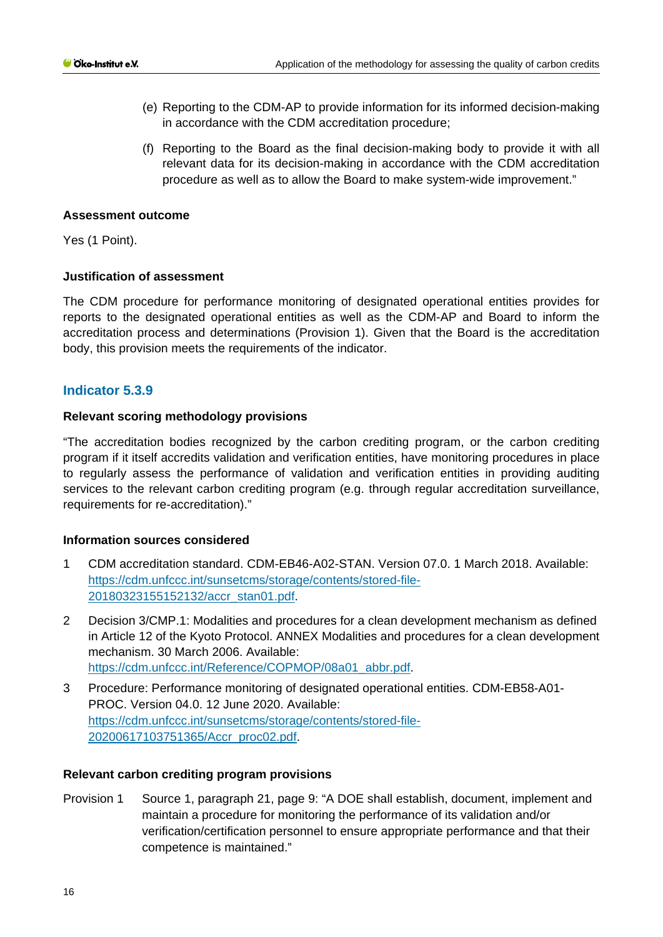- (e) Reporting to the CDM-AP to provide information for its informed decision-making in accordance with the CDM accreditation procedure;
- (f) Reporting to the Board as the final decision-making body to provide it with all relevant data for its decision-making in accordance with the CDM accreditation procedure as well as to allow the Board to make system-wide improvement."

Yes (1 Point).

## **Justification of assessment**

The CDM procedure for performance monitoring of designated operational entities provides for reports to the designated operational entities as well as the CDM-AP and Board to inform the accreditation process and determinations (Provision 1). Given that the Board is the accreditation body, this provision meets the requirements of the indicator.

## **Indicator 5.3.9**

## **Relevant scoring methodology provisions**

"The accreditation bodies recognized by the carbon crediting program, or the carbon crediting program if it itself accredits validation and verification entities, have monitoring procedures in place to regularly assess the performance of validation and verification entities in providing auditing services to the relevant carbon crediting program (e.g. through regular accreditation surveillance, requirements for re-accreditation)."

## **Information sources considered**

- 1 CDM accreditation standard. CDM-EB46-A02-STAN. Version 07.0. 1 March 2018. Available: [https://cdm.unfccc.int/sunsetcms/storage/contents/stored-file-](https://cdm.unfccc.int/sunsetcms/storage/contents/stored-file-20180323155152132/accr_stan01.pdf)[20180323155152132/accr\\_stan01.pdf.](https://cdm.unfccc.int/sunsetcms/storage/contents/stored-file-20180323155152132/accr_stan01.pdf)
- 2 Decision 3/CMP.1: Modalities and procedures for a clean development mechanism as defined in Article 12 of the Kyoto Protocol. ANNEX Modalities and procedures for a clean development mechanism. 30 March 2006. Available: [https://cdm.unfccc.int/Reference/COPMOP/08a01\\_abbr.pdf.](https://cdm.unfccc.int/Reference/COPMOP/08a01_abbr.pdf)
- 3 Procedure: Performance monitoring of designated operational entities. CDM-EB58-A01- PROC. Version 04.0. 12 June 2020. Available: [https://cdm.unfccc.int/sunsetcms/storage/contents/stored-file-](https://cdm.unfccc.int/sunsetcms/storage/contents/stored-file-20200617103751365/Accr_proc02.pdf)[20200617103751365/Accr\\_proc02.pdf.](https://cdm.unfccc.int/sunsetcms/storage/contents/stored-file-20200617103751365/Accr_proc02.pdf)

#### **Relevant carbon crediting program provisions**

Provision 1 Source 1, paragraph 21, page 9: "A DOE shall establish, document, implement and maintain a procedure for monitoring the performance of its validation and/or verification/certification personnel to ensure appropriate performance and that their competence is maintained."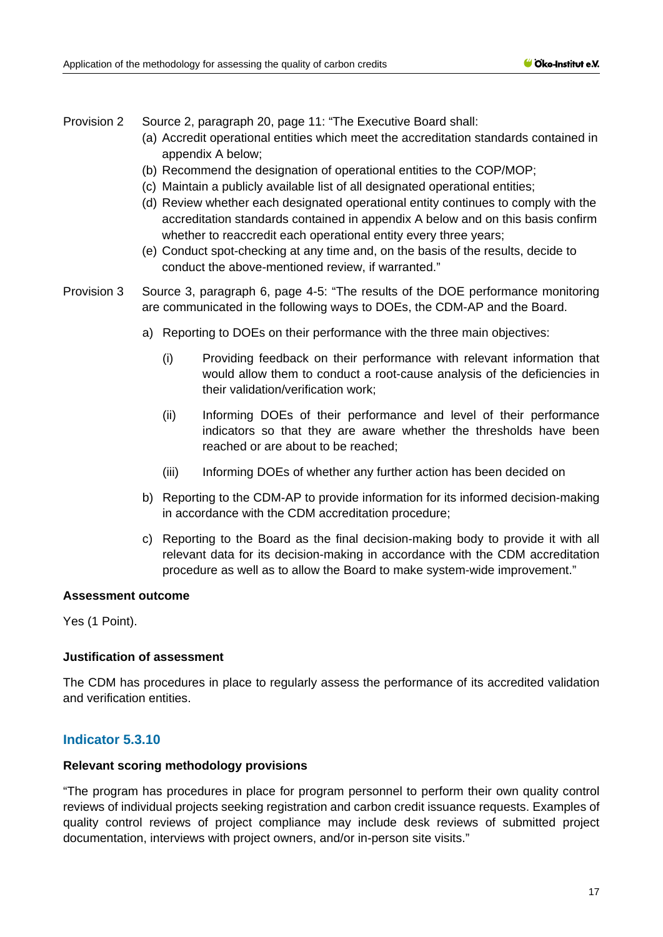Provision 2 Source 2, paragraph 20, page 11: "The Executive Board shall:

- (a) Accredit operational entities which meet the accreditation standards contained in appendix A below;
- (b) Recommend the designation of operational entities to the COP/MOP;
- (c) Maintain a publicly available list of all designated operational entities;
- (d) Review whether each designated operational entity continues to comply with the accreditation standards contained in appendix A below and on this basis confirm whether to reaccredit each operational entity every three years;
- (e) Conduct spot-checking at any time and, on the basis of the results, decide to conduct the above-mentioned review, if warranted."
- Provision 3 Source 3, paragraph 6, page 4-5: "The results of the DOE performance monitoring are communicated in the following ways to DOEs, the CDM-AP and the Board.
	- a) Reporting to DOEs on their performance with the three main objectives:
		- (i) Providing feedback on their performance with relevant information that would allow them to conduct a root-cause analysis of the deficiencies in their validation/verification work;
		- (ii) Informing DOEs of their performance and level of their performance indicators so that they are aware whether the thresholds have been reached or are about to be reached;
		- (iii) Informing DOEs of whether any further action has been decided on
	- b) Reporting to the CDM-AP to provide information for its informed decision-making in accordance with the CDM accreditation procedure;
	- c) Reporting to the Board as the final decision-making body to provide it with all relevant data for its decision-making in accordance with the CDM accreditation procedure as well as to allow the Board to make system-wide improvement."

#### **Assessment outcome**

Yes (1 Point).

#### **Justification of assessment**

The CDM has procedures in place to regularly assess the performance of its accredited validation and verification entities.

## **Indicator 5.3.10**

#### **Relevant scoring methodology provisions**

"The program has procedures in place for program personnel to perform their own quality control reviews of individual projects seeking registration and carbon credit issuance requests. Examples of quality control reviews of project compliance may include desk reviews of submitted project documentation, interviews with project owners, and/or in-person site visits."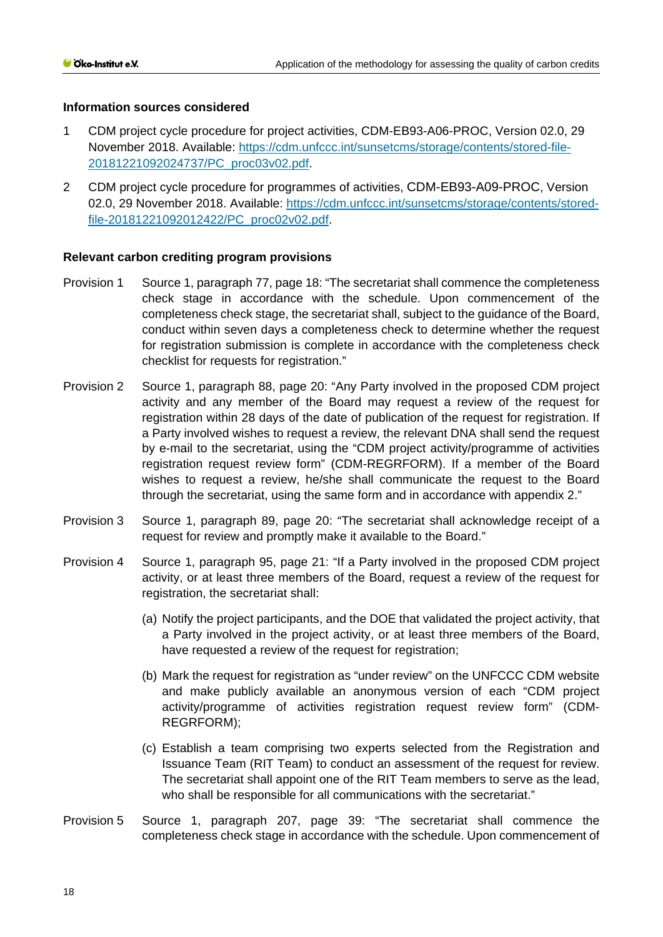#### **Information sources considered**

- 1 CDM project cycle procedure for project activities, CDM-EB93-A06-PROC, Version 02.0, 29 November 2018. Available: [https://cdm.unfccc.int/sunsetcms/storage/contents/stored-file-](https://cdm.unfccc.int/sunsetcms/storage/contents/stored-file-20181221092024737/PC_proc03v02.pdf)[20181221092024737/PC\\_proc03v02.pdf.](https://cdm.unfccc.int/sunsetcms/storage/contents/stored-file-20181221092024737/PC_proc03v02.pdf)
- 2 CDM project cycle procedure for programmes of activities, CDM-EB93-A09-PROC, Version 02.0, 29 November 2018. Available: [https://cdm.unfccc.int/sunsetcms/storage/contents/stored](https://cdm.unfccc.int/sunsetcms/storage/contents/stored-file-20181221092012422/PC_proc02v02.pdf)[file-20181221092012422/PC\\_proc02v02.pdf.](https://cdm.unfccc.int/sunsetcms/storage/contents/stored-file-20181221092012422/PC_proc02v02.pdf)

- Provision 1 Source 1, paragraph 77, page 18: "The secretariat shall commence the completeness check stage in accordance with the schedule. Upon commencement of the completeness check stage, the secretariat shall, subject to the guidance of the Board, conduct within seven days a completeness check to determine whether the request for registration submission is complete in accordance with the completeness check checklist for requests for registration."
- Provision 2 Source 1, paragraph 88, page 20: "Any Party involved in the proposed CDM project activity and any member of the Board may request a review of the request for registration within 28 days of the date of publication of the request for registration. If a Party involved wishes to request a review, the relevant DNA shall send the request by e-mail to the secretariat, using the "CDM project activity/programme of activities registration request review form" (CDM-REGRFORM). If a member of the Board wishes to request a review, he/she shall communicate the request to the Board through the secretariat, using the same form and in accordance with appendix 2."
- Provision 3 Source 1, paragraph 89, page 20: "The secretariat shall acknowledge receipt of a request for review and promptly make it available to the Board."
- Provision 4 Source 1, paragraph 95, page 21: "If a Party involved in the proposed CDM project activity, or at least three members of the Board, request a review of the request for registration, the secretariat shall:
	- (a) Notify the project participants, and the DOE that validated the project activity, that a Party involved in the project activity, or at least three members of the Board, have requested a review of the request for registration;
	- (b) Mark the request for registration as "under review" on the UNFCCC CDM website and make publicly available an anonymous version of each "CDM project activity/programme of activities registration request review form" (CDM-REGRFORM);
	- (c) Establish a team comprising two experts selected from the Registration and Issuance Team (RIT Team) to conduct an assessment of the request for review. The secretariat shall appoint one of the RIT Team members to serve as the lead, who shall be responsible for all communications with the secretariat."
- Provision 5 Source 1, paragraph 207, page 39: "The secretariat shall commence the completeness check stage in accordance with the schedule. Upon commencement of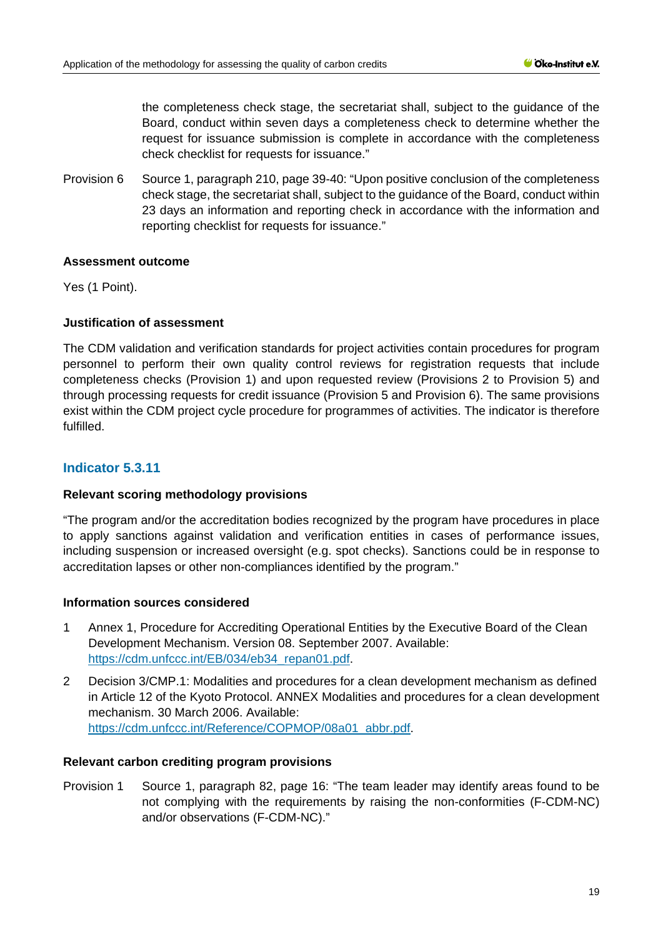the completeness check stage, the secretariat shall, subject to the guidance of the Board, conduct within seven days a completeness check to determine whether the request for issuance submission is complete in accordance with the completeness check checklist for requests for issuance."

Provision 6 Source 1, paragraph 210, page 39-40: "Upon positive conclusion of the completeness check stage, the secretariat shall, subject to the guidance of the Board, conduct within 23 days an information and reporting check in accordance with the information and reporting checklist for requests for issuance."

## **Assessment outcome**

Yes (1 Point).

## **Justification of assessment**

The CDM validation and verification standards for project activities contain procedures for program personnel to perform their own quality control reviews for registration requests that include completeness checks (Provision 1) and upon requested review (Provisions 2 to Provision 5) and through processing requests for credit issuance (Provision 5 and Provision 6). The same provisions exist within the CDM project cycle procedure for programmes of activities. The indicator is therefore fulfilled.

## **Indicator 5.3.11**

#### **Relevant scoring methodology provisions**

"The program and/or the accreditation bodies recognized by the program have procedures in place to apply sanctions against validation and verification entities in cases of performance issues, including suspension or increased oversight (e.g. spot checks). Sanctions could be in response to accreditation lapses or other non-compliances identified by the program."

#### **Information sources considered**

- 1 Annex 1, Procedure for Accrediting Operational Entities by the Executive Board of the Clean Development Mechanism. Version 08. September 2007. Available: [https://cdm.unfccc.int/EB/034/eb34\\_repan01.pdf.](https://cdm.unfccc.int/EB/034/eb34_repan01.pdf)
- 2 Decision 3/CMP.1: Modalities and procedures for a clean development mechanism as defined in Article 12 of the Kyoto Protocol. ANNEX Modalities and procedures for a clean development mechanism. 30 March 2006. Available: [https://cdm.unfccc.int/Reference/COPMOP/08a01\\_abbr.pdf.](https://cdm.unfccc.int/Reference/COPMOP/08a01_abbr.pdf)

#### **Relevant carbon crediting program provisions**

Provision 1 Source 1, paragraph 82, page 16: "The team leader may identify areas found to be not complying with the requirements by raising the non-conformities (F-CDM-NC) and/or observations (F-CDM-NC)."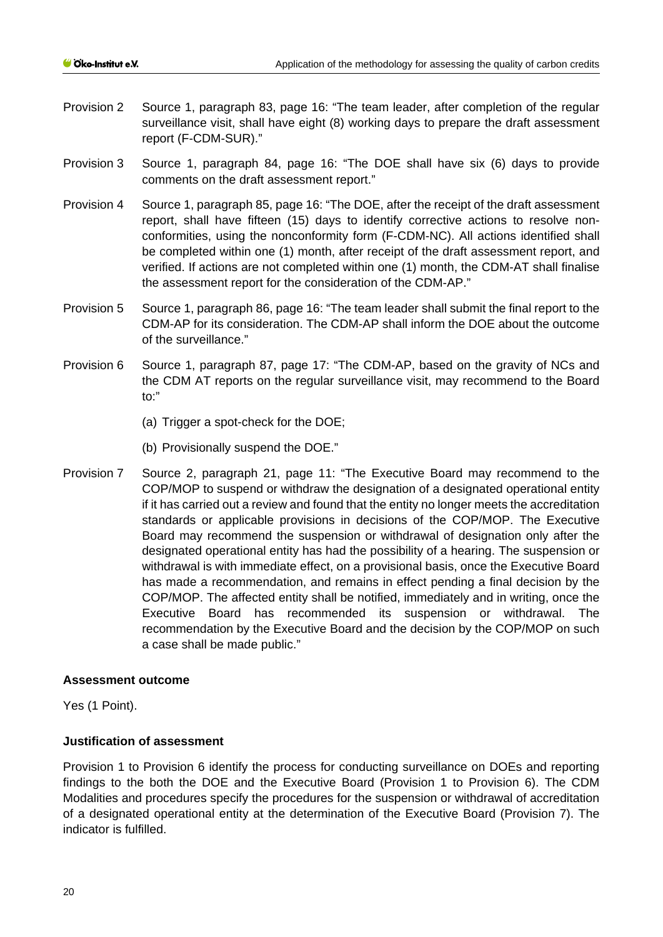- Provision 2 Source 1, paragraph 83, page 16: "The team leader, after completion of the regular surveillance visit, shall have eight (8) working days to prepare the draft assessment report (F-CDM-SUR)."
- Provision 3 Source 1, paragraph 84, page 16: "The DOE shall have six (6) days to provide comments on the draft assessment report."
- Provision 4 Source 1, paragraph 85, page 16: "The DOE, after the receipt of the draft assessment report, shall have fifteen (15) days to identify corrective actions to resolve nonconformities, using the nonconformity form (F-CDM-NC). All actions identified shall be completed within one (1) month, after receipt of the draft assessment report, and verified. If actions are not completed within one (1) month, the CDM-AT shall finalise the assessment report for the consideration of the CDM-AP."
- Provision 5 Source 1, paragraph 86, page 16: "The team leader shall submit the final report to the CDM-AP for its consideration. The CDM-AP shall inform the DOE about the outcome of the surveillance."
- Provision 6 Source 1, paragraph 87, page 17: "The CDM-AP, based on the gravity of NCs and the CDM AT reports on the regular surveillance visit, may recommend to the Board to:"
	- (a) Trigger a spot-check for the DOE;
	- (b) Provisionally suspend the DOE."
- Provision 7 Source 2, paragraph 21, page 11: "The Executive Board may recommend to the COP/MOP to suspend or withdraw the designation of a designated operational entity if it has carried out a review and found that the entity no longer meets the accreditation standards or applicable provisions in decisions of the COP/MOP. The Executive Board may recommend the suspension or withdrawal of designation only after the designated operational entity has had the possibility of a hearing. The suspension or withdrawal is with immediate effect, on a provisional basis, once the Executive Board has made a recommendation, and remains in effect pending a final decision by the COP/MOP. The affected entity shall be notified, immediately and in writing, once the Executive Board has recommended its suspension or withdrawal. The recommendation by the Executive Board and the decision by the COP/MOP on such a case shall be made public."

Yes (1 Point).

#### **Justification of assessment**

Provision 1 to Provision 6 identify the process for conducting surveillance on DOEs and reporting findings to the both the DOE and the Executive Board (Provision 1 to Provision 6). The CDM Modalities and procedures specify the procedures for the suspension or withdrawal of accreditation of a designated operational entity at the determination of the Executive Board (Provision 7). The indicator is fulfilled.